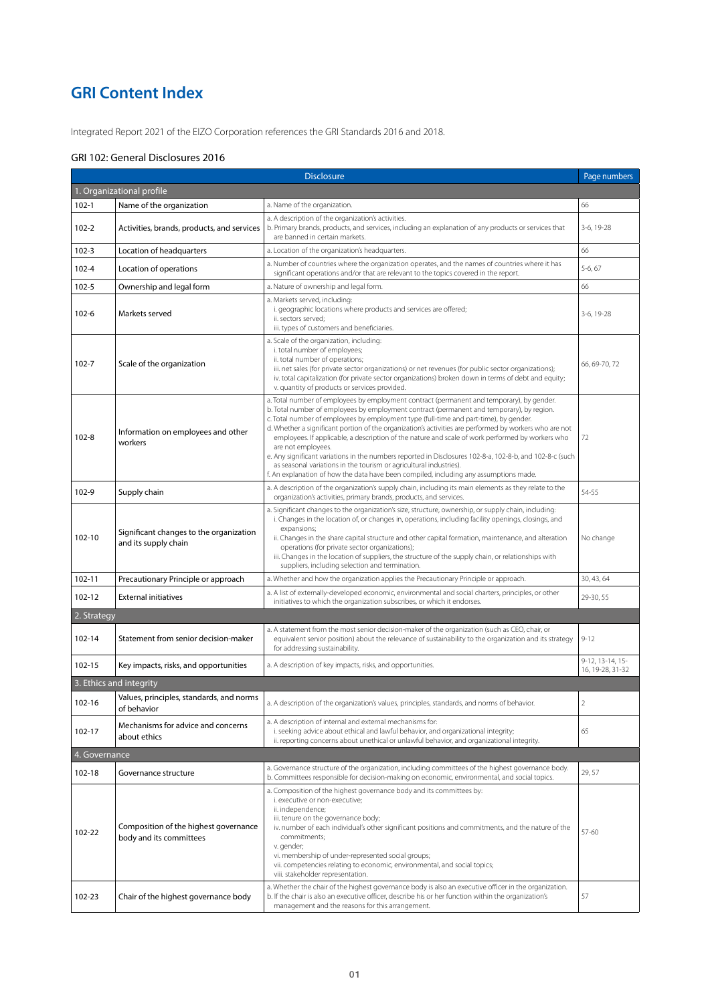# **GRI Content Index**

Integrated Report 2021 of the EIZO Corporation references the GRI Standards 2016 and 2018.

## GRI 102: General Disclosures 2016

| <b>Disclosure</b>         |                                                                  |                                                                                                                                                                                                                                                                                                                                                                                                                                                                                                                                                                                                                                                                                                                                                                                                | Page numbers                         |  |
|---------------------------|------------------------------------------------------------------|------------------------------------------------------------------------------------------------------------------------------------------------------------------------------------------------------------------------------------------------------------------------------------------------------------------------------------------------------------------------------------------------------------------------------------------------------------------------------------------------------------------------------------------------------------------------------------------------------------------------------------------------------------------------------------------------------------------------------------------------------------------------------------------------|--------------------------------------|--|
| 1. Organizational profile |                                                                  |                                                                                                                                                                                                                                                                                                                                                                                                                                                                                                                                                                                                                                                                                                                                                                                                |                                      |  |
| $102 - 1$                 | Name of the organization                                         | a. Name of the organization.                                                                                                                                                                                                                                                                                                                                                                                                                                                                                                                                                                                                                                                                                                                                                                   | 66                                   |  |
| $102 - 2$                 | Activities, brands, products, and services                       | a. A description of the organization's activities.<br>b. Primary brands, products, and services, including an explanation of any products or services that<br>are banned in certain markets.                                                                                                                                                                                                                                                                                                                                                                                                                                                                                                                                                                                                   | 3-6, 19-28                           |  |
| $102 - 3$                 | Location of headquarters                                         | a. Location of the organization's headquarters.                                                                                                                                                                                                                                                                                                                                                                                                                                                                                                                                                                                                                                                                                                                                                | 66                                   |  |
| $102 - 4$                 | Location of operations                                           | a. Number of countries where the organization operates, and the names of countries where it has<br>significant operations and/or that are relevant to the topics covered in the report.                                                                                                                                                                                                                                                                                                                                                                                                                                                                                                                                                                                                        | 5-6, 67                              |  |
| $102 - 5$                 | Ownership and legal form                                         | a. Nature of ownership and legal form.                                                                                                                                                                                                                                                                                                                                                                                                                                                                                                                                                                                                                                                                                                                                                         | 66                                   |  |
| $102 - 6$                 | Markets served                                                   | a. Markets served, including:<br>i. geographic locations where products and services are offered;<br>ii. sectors served;<br>iii. types of customers and beneficiaries.                                                                                                                                                                                                                                                                                                                                                                                                                                                                                                                                                                                                                         | 3-6, 19-28                           |  |
| $102 - 7$                 | Scale of the organization                                        | a. Scale of the organization, including:<br>i. total number of employees;<br>ii. total number of operations;<br>iii. net sales (for private sector organizations) or net revenues (for public sector organizations);<br>iv. total capitalization (for private sector organizations) broken down in terms of debt and equity;<br>v. quantity of products or services provided.                                                                                                                                                                                                                                                                                                                                                                                                                  | 66, 69-70, 72                        |  |
| $102 - 8$                 | Information on employees and other<br>workers                    | a. Total number of employees by employment contract (permanent and temporary), by gender.<br>b. Total number of employees by employment contract (permanent and temporary), by region.<br>c. Total number of employees by employment type (full-time and part-time), by gender.<br>d. Whether a significant portion of the organization's activities are performed by workers who are not<br>employees. If applicable, a description of the nature and scale of work performed by workers who<br>are not employees.<br>e. Any significant variations in the numbers reported in Disclosures 102-8-a, 102-8-b, and 102-8-c (such<br>as seasonal variations in the tourism or agricultural industries).<br>f. An explanation of how the data have been compiled, including any assumptions made. | 72                                   |  |
| 102-9                     | Supply chain                                                     | a. A description of the organization's supply chain, including its main elements as they relate to the<br>organization's activities, primary brands, products, and services.                                                                                                                                                                                                                                                                                                                                                                                                                                                                                                                                                                                                                   | 54-55                                |  |
| 102-10                    | Significant changes to the organization<br>and its supply chain  | a. Significant changes to the organization's size, structure, ownership, or supply chain, including:<br>i. Changes in the location of, or changes in, operations, including facility openings, closings, and<br>expansions;<br>ii. Changes in the share capital structure and other capital formation, maintenance, and alteration<br>operations (for private sector organizations);<br>iii. Changes in the location of suppliers, the structure of the supply chain, or relationships with<br>suppliers, including selection and termination.                                                                                                                                                                                                                                                 | No change                            |  |
| 102-11                    | Precautionary Principle or approach                              | a. Whether and how the organization applies the Precautionary Principle or approach.                                                                                                                                                                                                                                                                                                                                                                                                                                                                                                                                                                                                                                                                                                           | 30, 43, 64                           |  |
| 102-12                    | <b>External initiatives</b>                                      | a. A list of externally-developed economic, environmental and social charters, principles, or other<br>initiatives to which the organization subscribes, or which it endorses.                                                                                                                                                                                                                                                                                                                                                                                                                                                                                                                                                                                                                 | 29-30, 55                            |  |
| 2. Strategy               |                                                                  |                                                                                                                                                                                                                                                                                                                                                                                                                                                                                                                                                                                                                                                                                                                                                                                                |                                      |  |
| 102-14                    | Statement from senior decision-maker                             | a. A statement from the most senior decision-maker of the organization (such as CEO, chair, or<br>equivalent senior position) about the relevance of sustainability to the organization and its strategy<br>for addressing sustainability.                                                                                                                                                                                                                                                                                                                                                                                                                                                                                                                                                     | $9 - 12$                             |  |
| 102-15                    | Key impacts, risks, and opportunities                            | a. A description of key impacts, risks, and opportunities.                                                                                                                                                                                                                                                                                                                                                                                                                                                                                                                                                                                                                                                                                                                                     | 9-12, 13-14, 15-<br>16, 19-28, 31-32 |  |
|                           | 3. Ethics and integrity                                          |                                                                                                                                                                                                                                                                                                                                                                                                                                                                                                                                                                                                                                                                                                                                                                                                |                                      |  |
| 102-16                    | Values, principles, standards, and norms<br>of behavior          | a. A description of the organization's values, principles, standards, and norms of behavior.                                                                                                                                                                                                                                                                                                                                                                                                                                                                                                                                                                                                                                                                                                   | $\overline{ }$                       |  |
| 102-17                    | Mechanisms for advice and concerns<br>about ethics               | a. A description of internal and external mechanisms for:<br>i. seeking advice about ethical and lawful behavior, and organizational integrity;<br>ii. reporting concerns about unethical or unlawful behavior, and organizational integrity.                                                                                                                                                                                                                                                                                                                                                                                                                                                                                                                                                  | 65                                   |  |
| 4. Governance             |                                                                  |                                                                                                                                                                                                                                                                                                                                                                                                                                                                                                                                                                                                                                                                                                                                                                                                |                                      |  |
|                           |                                                                  | a. Governance structure of the organization, including committees of the highest governance body.                                                                                                                                                                                                                                                                                                                                                                                                                                                                                                                                                                                                                                                                                              |                                      |  |
| 102-18                    | Governance structure                                             | b. Committees responsible for decision-making on economic, environmental, and social topics.                                                                                                                                                                                                                                                                                                                                                                                                                                                                                                                                                                                                                                                                                                   | 29,57                                |  |
| 102-22                    | Composition of the highest governance<br>body and its committees | a. Composition of the highest governance body and its committees by:<br>i. executive or non-executive;<br>ii. independence;<br>iii. tenure on the governance body;<br>iv. number of each individual's other significant positions and commitments, and the nature of the<br>commitments:<br>v. gender;<br>vi. membership of under-represented social groups;<br>vii. competencies relating to economic, environmental, and social topics;<br>viii. stakeholder representation.                                                                                                                                                                                                                                                                                                                 | $57 - 60$                            |  |
| 102-23                    | Chair of the highest governance body                             | a. Whether the chair of the highest governance body is also an executive officer in the organization.<br>b. If the chair is also an executive officer, describe his or her function within the organization's<br>management and the reasons for this arrangement.                                                                                                                                                                                                                                                                                                                                                                                                                                                                                                                              | 57                                   |  |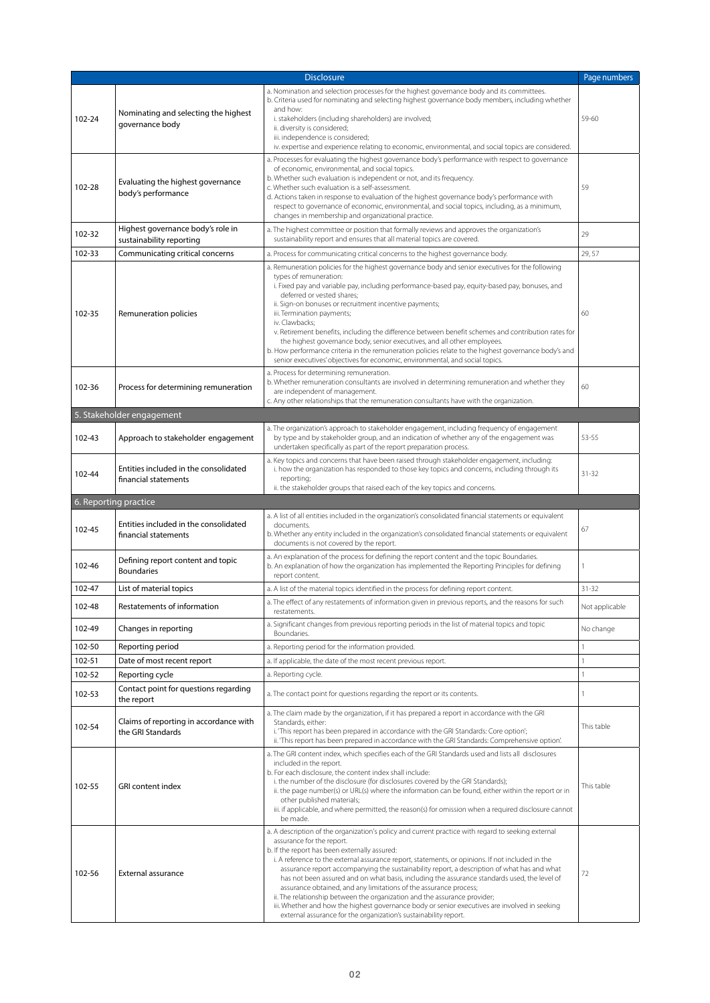|        |                                                               | <b>Disclosure</b>                                                                                                                                                                                                                                                                                                                                                                                                                                                                                                                                                                                                                                                                                                                                                                                          | Page numbers   |
|--------|---------------------------------------------------------------|------------------------------------------------------------------------------------------------------------------------------------------------------------------------------------------------------------------------------------------------------------------------------------------------------------------------------------------------------------------------------------------------------------------------------------------------------------------------------------------------------------------------------------------------------------------------------------------------------------------------------------------------------------------------------------------------------------------------------------------------------------------------------------------------------------|----------------|
| 102-24 | Nominating and selecting the highest<br>governance body       | a. Nomination and selection processes for the highest governance body and its committees.<br>b. Criteria used for nominating and selecting highest governance body members, including whether<br>and how:<br>i. stakeholders (including shareholders) are involved;<br>ii. diversity is considered;<br>iii. independence is considered;<br>iv. expertise and experience relating to economic, environmental, and social topics are considered.                                                                                                                                                                                                                                                                                                                                                             | 59-60          |
| 102-28 | Evaluating the highest governance<br>body's performance       | a. Processes for evaluating the highest governance body's performance with respect to governance<br>of economic, environmental, and social topics.<br>b. Whether such evaluation is independent or not, and its frequency.<br>c. Whether such evaluation is a self-assessment.<br>d. Actions taken in response to evaluation of the highest governance body's performance with<br>respect to governance of economic, environmental, and social topics, including, as a minimum,<br>changes in membership and organizational practice.                                                                                                                                                                                                                                                                      | 59             |
| 102-32 | Highest governance body's role in<br>sustainability reporting | a. The highest committee or position that formally reviews and approves the organization's<br>sustainability report and ensures that all material topics are covered.                                                                                                                                                                                                                                                                                                                                                                                                                                                                                                                                                                                                                                      | 29             |
| 102-33 | Communicating critical concerns                               | a. Process for communicating critical concerns to the highest governance body.                                                                                                                                                                                                                                                                                                                                                                                                                                                                                                                                                                                                                                                                                                                             | 29,57          |
| 102-35 | Remuneration policies                                         | a. Remuneration policies for the highest governance body and senior executives for the following<br>types of remuneration:<br>i. Fixed pay and variable pay, including performance-based pay, equity-based pay, bonuses, and<br>deferred or vested shares;<br>ii. Sign-on bonuses or recruitment incentive payments;<br>iii. Termination payments;<br>iv. Clawbacks;<br>v. Retirement benefits, including the difference between benefit schemes and contribution rates for<br>the highest governance body, senior executives, and all other employees.<br>b. How performance criteria in the remuneration policies relate to the highest governance body's and<br>senior executives' objectives for economic, environmental, and social topics.                                                           | 60             |
| 102-36 | Process for determining remuneration                          | a. Process for determining remuneration.<br>b. Whether remuneration consultants are involved in determining remuneration and whether they<br>are independent of management.<br>c. Any other relationships that the remuneration consultants have with the organization.                                                                                                                                                                                                                                                                                                                                                                                                                                                                                                                                    | 60             |
|        | 5. Stakeholder engagement                                     |                                                                                                                                                                                                                                                                                                                                                                                                                                                                                                                                                                                                                                                                                                                                                                                                            |                |
| 102-43 | Approach to stakeholder engagement                            | a. The organization's approach to stakeholder engagement, including frequency of engagement<br>by type and by stakeholder group, and an indication of whether any of the engagement was<br>undertaken specifically as part of the report preparation process.                                                                                                                                                                                                                                                                                                                                                                                                                                                                                                                                              | 53-55          |
| 102-44 | Entities included in the consolidated<br>financial statements | a. Key topics and concerns that have been raised through stakeholder engagement, including:<br>i. how the organization has responded to those key topics and concerns, including through its<br>reporting;<br>ii. the stakeholder groups that raised each of the key topics and concerns.                                                                                                                                                                                                                                                                                                                                                                                                                                                                                                                  | $31 - 32$      |
|        | 6. Reporting practice                                         |                                                                                                                                                                                                                                                                                                                                                                                                                                                                                                                                                                                                                                                                                                                                                                                                            |                |
| 102-45 | Entities included in the consolidated<br>financial statements | a. A list of all entities included in the organization's consolidated financial statements or equivalent<br>documents.<br>b. Whether any entity included in the organization's consolidated financial statements or equivalent<br>documents is not covered by the report.                                                                                                                                                                                                                                                                                                                                                                                                                                                                                                                                  | 67             |
| 102-46 | Defining report content and topic<br><b>Boundaries</b>        | a. An explanation of the process for defining the report content and the topic Boundaries.<br>b. An explanation of how the organization has implemented the Reporting Principles for defining<br>report content.                                                                                                                                                                                                                                                                                                                                                                                                                                                                                                                                                                                           |                |
| 102-47 | List of material topics                                       | a. A list of the material topics identified in the process for defining report content.                                                                                                                                                                                                                                                                                                                                                                                                                                                                                                                                                                                                                                                                                                                    | $31 - 32$      |
| 102-48 | Restatements of information                                   | a. The effect of any restatements of information given in previous reports, and the reasons for such<br>restatements.                                                                                                                                                                                                                                                                                                                                                                                                                                                                                                                                                                                                                                                                                      | Not applicable |
| 102-49 | Changes in reporting                                          | a. Significant changes from previous reporting periods in the list of material topics and topic<br>Boundaries.                                                                                                                                                                                                                                                                                                                                                                                                                                                                                                                                                                                                                                                                                             | No change      |
| 102-50 | Reporting period                                              | a. Reporting period for the information provided.                                                                                                                                                                                                                                                                                                                                                                                                                                                                                                                                                                                                                                                                                                                                                          | 1              |
| 102-51 | Date of most recent report                                    | a. If applicable, the date of the most recent previous report.                                                                                                                                                                                                                                                                                                                                                                                                                                                                                                                                                                                                                                                                                                                                             | 1              |
| 102-52 | Reporting cycle                                               | a. Reporting cycle.                                                                                                                                                                                                                                                                                                                                                                                                                                                                                                                                                                                                                                                                                                                                                                                        |                |
| 102-53 | Contact point for questions regarding<br>the report           | a. The contact point for questions regarding the report or its contents.                                                                                                                                                                                                                                                                                                                                                                                                                                                                                                                                                                                                                                                                                                                                   | 1              |
| 102-54 | Claims of reporting in accordance with<br>the GRI Standards   | a. The claim made by the organization, if it has prepared a report in accordance with the GRI<br>Standards, either:<br>i. 'This report has been prepared in accordance with the GRI Standards: Core option';<br>ii. 'This report has been prepared in accordance with the GRI Standards: Comprehensive option'.                                                                                                                                                                                                                                                                                                                                                                                                                                                                                            | This table     |
| 102-55 | <b>GRI</b> content index                                      | a. The GRI content index, which specifies each of the GRI Standards used and lists all disclosures<br>included in the report.<br>b. For each disclosure, the content index shall include:<br>i. the number of the disclosure (for disclosures covered by the GRI Standards);<br>ii. the page number(s) or URL(s) where the information can be found, either within the report or in<br>other published materials;<br>iii. if applicable, and where permitted, the reason(s) for omission when a required disclosure cannot<br>be made.                                                                                                                                                                                                                                                                     | This table     |
| 102-56 | External assurance                                            | a. A description of the organization's policy and current practice with regard to seeking external<br>assurance for the report.<br>b. If the report has been externally assured:<br>i. A reference to the external assurance report, statements, or opinions. If not included in the<br>assurance report accompanying the sustainability report, a description of what has and what<br>has not been assured and on what basis, including the assurance standards used, the level of<br>assurance obtained, and any limitations of the assurance process;<br>ii. The relationship between the organization and the assurance provider;<br>iii. Whether and how the highest governance body or senior executives are involved in seeking<br>external assurance for the organization's sustainability report. | 72             |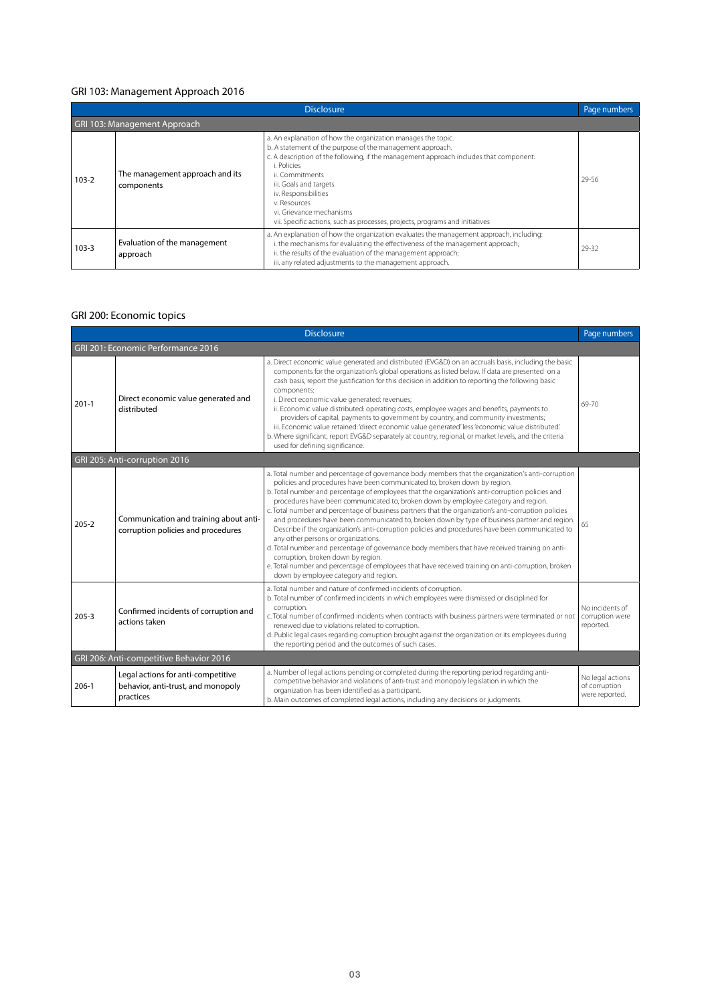## GRI 103: Management Approach 2016

|           |                                               | Disclosure                                                                                                                                                                                                                                                                                                                                                                                                                          | Page numbers |
|-----------|-----------------------------------------------|-------------------------------------------------------------------------------------------------------------------------------------------------------------------------------------------------------------------------------------------------------------------------------------------------------------------------------------------------------------------------------------------------------------------------------------|--------------|
|           | GRI 103: Management Approach                  |                                                                                                                                                                                                                                                                                                                                                                                                                                     |              |
| $103 - 2$ | The management approach and its<br>components | a. An explanation of how the organization manages the topic.<br>b. A statement of the purpose of the management approach.<br>c. A description of the following, if the management approach includes that component:<br>i. Policies<br>ii. Commitments<br>iii. Goals and targets<br>iv. Responsibilities<br>v. Resources<br>vi. Grievance mechanisms<br>vii. Specific actions, such as processes, projects, programs and initiatives | 29-56        |
| $103 - 3$ | Evaluation of the management<br>approach      | a. An explanation of how the organization evaluates the management approach, including:<br>i. the mechanisms for evaluating the effectiveness of the management approach;<br>ii. the results of the evaluation of the management approach;<br>iii. any related adjustments to the management approach.                                                                                                                              | 29-32        |

## GRI 200: Economic topics

| <b>Disclosure</b>                       |                                                                                       |                                                                                                                                                                                                                                                                                                                                                                                                                                                                                                                                                                                                                                                                                                                                                                                                                                                                                                                                                                                                                     | Page numbers                                        |  |
|-----------------------------------------|---------------------------------------------------------------------------------------|---------------------------------------------------------------------------------------------------------------------------------------------------------------------------------------------------------------------------------------------------------------------------------------------------------------------------------------------------------------------------------------------------------------------------------------------------------------------------------------------------------------------------------------------------------------------------------------------------------------------------------------------------------------------------------------------------------------------------------------------------------------------------------------------------------------------------------------------------------------------------------------------------------------------------------------------------------------------------------------------------------------------|-----------------------------------------------------|--|
| GRI 201: Economic Performance 2016      |                                                                                       |                                                                                                                                                                                                                                                                                                                                                                                                                                                                                                                                                                                                                                                                                                                                                                                                                                                                                                                                                                                                                     |                                                     |  |
| $201 - 1$                               | Direct economic value generated and<br>distributed                                    | a. Direct economic value generated and distributed (EVG&D) on an accruals basis, including the basic<br>components for the organization's global operations as listed below. If data are presented on a<br>cash basis, report the justification for this decision in addition to reporting the following basic<br>components:<br>i. Direct economic value generated: revenues;<br>ii. Economic value distributed: operating costs, employee wages and benefits, payments to<br>providers of capital, payments to government by country, and community investments;<br>iii. Economic value retained: 'direct economic value generated' less 'economic value distributed'.<br>b. Where significant, report EVG&D separately at country, regional, or market levels, and the criteria<br>used for defining significance.                                                                                                                                                                                               | 69-70                                               |  |
|                                         | GRI 205: Anti-corruption 2016                                                         |                                                                                                                                                                                                                                                                                                                                                                                                                                                                                                                                                                                                                                                                                                                                                                                                                                                                                                                                                                                                                     |                                                     |  |
| $205 - 2$                               | Communication and training about anti-<br>corruption policies and procedures          | a. Total number and percentage of governance body members that the organization's anti-corruption<br>policies and procedures have been communicated to, broken down by region.<br>b. Total number and percentage of employees that the organization's anti-corruption policies and<br>procedures have been communicated to, broken down by employee category and region.<br>c. Total number and percentage of business partners that the organization's anti-corruption policies<br>and procedures have been communicated to, broken down by type of business partner and region.<br>Describe if the organization's anti-corruption policies and procedures have been communicated to<br>any other persons or organizations.<br>d. Total number and percentage of governance body members that have received training on anti-<br>corruption, broken down by region.<br>e. Total number and percentage of employees that have received training on anti-corruption, broken<br>down by employee category and region. | 65                                                  |  |
| $205 - 3$                               | Confirmed incidents of corruption and<br>actions taken                                | a. Total number and nature of confirmed incidents of corruption.<br>b. Total number of confirmed incidents in which employees were dismissed or disciplined for<br>corruption.<br>c. Total number of confirmed incidents when contracts with business partners were terminated or not<br>renewed due to violations related to corruption.<br>d. Public legal cases regarding corruption brought against the organization or its employees during<br>the reporting period and the outcomes of such cases.                                                                                                                                                                                                                                                                                                                                                                                                                                                                                                            | No incidents of<br>corruption were<br>reported.     |  |
| GRI 206: Anti-competitive Behavior 2016 |                                                                                       |                                                                                                                                                                                                                                                                                                                                                                                                                                                                                                                                                                                                                                                                                                                                                                                                                                                                                                                                                                                                                     |                                                     |  |
| $206-1$                                 | Legal actions for anti-competitive<br>behavior, anti-trust, and monopoly<br>practices | a. Number of legal actions pending or completed during the reporting period regarding anti-<br>competitive behavior and violations of anti-trust and monopoly legislation in which the<br>organization has been identified as a participant.<br>b. Main outcomes of completed legal actions, including any decisions or judgments.                                                                                                                                                                                                                                                                                                                                                                                                                                                                                                                                                                                                                                                                                  | No legal actions<br>of corruption<br>were reported. |  |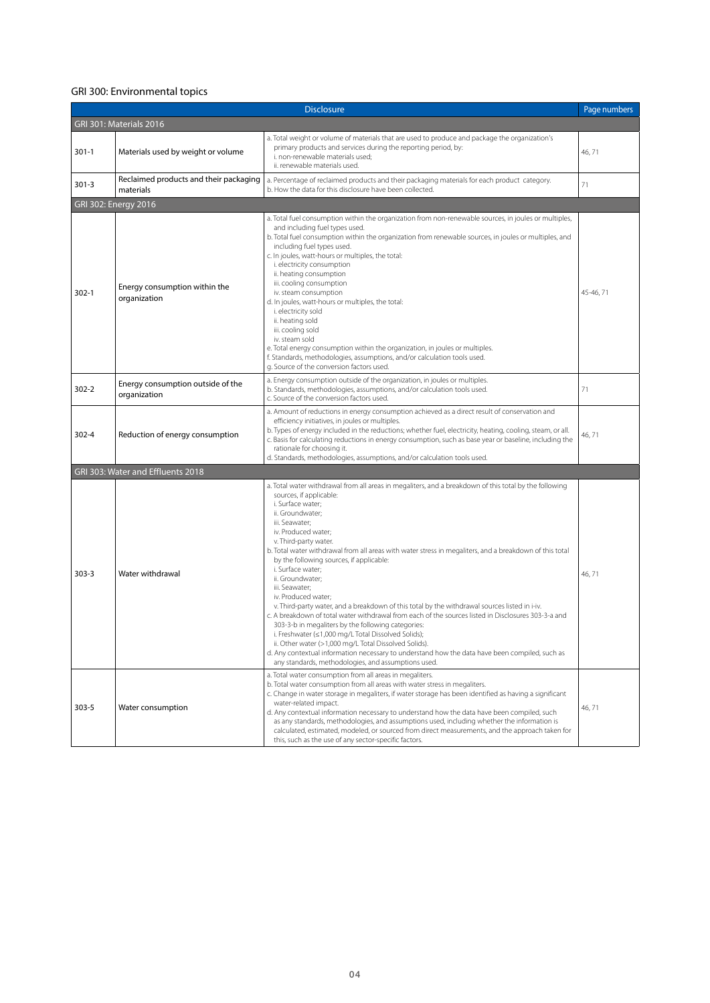## GRI 300: Environmental topics

|                         |                                                       | <b>Disclosure</b>                                                                                                                                                                                                                                                                                                                                                                                                                                                                                                                                                                                                                                                                                                                                                                                                                                                                                                                                                                                                            | Page numbers |  |
|-------------------------|-------------------------------------------------------|------------------------------------------------------------------------------------------------------------------------------------------------------------------------------------------------------------------------------------------------------------------------------------------------------------------------------------------------------------------------------------------------------------------------------------------------------------------------------------------------------------------------------------------------------------------------------------------------------------------------------------------------------------------------------------------------------------------------------------------------------------------------------------------------------------------------------------------------------------------------------------------------------------------------------------------------------------------------------------------------------------------------------|--------------|--|
| GRI 301: Materials 2016 |                                                       |                                                                                                                                                                                                                                                                                                                                                                                                                                                                                                                                                                                                                                                                                                                                                                                                                                                                                                                                                                                                                              |              |  |
| $301-1$                 | Materials used by weight or volume                    | a. Total weight or volume of materials that are used to produce and package the organization's<br>primary products and services during the reporting period, by:<br>i. non-renewable materials used;<br>ii, renewable materials used.                                                                                                                                                                                                                                                                                                                                                                                                                                                                                                                                                                                                                                                                                                                                                                                        | 46,71        |  |
| $301 - 3$               | Reclaimed products and their packaging<br>materials   | a. Percentage of reclaimed products and their packaging materials for each product category.<br>b. How the data for this disclosure have been collected.                                                                                                                                                                                                                                                                                                                                                                                                                                                                                                                                                                                                                                                                                                                                                                                                                                                                     | 71           |  |
|                         | GRI 302: Energy 2016                                  |                                                                                                                                                                                                                                                                                                                                                                                                                                                                                                                                                                                                                                                                                                                                                                                                                                                                                                                                                                                                                              |              |  |
| $302 - 1$               | Energy consumption within the<br>organization         | a. Total fuel consumption within the organization from non-renewable sources, in joules or multiples,<br>and including fuel types used.<br>b. Total fuel consumption within the organization from renewable sources, in joules or multiples, and<br>including fuel types used.<br>c. In joules, watt-hours or multiples, the total:<br>i. electricity consumption<br>ii. heating consumption<br>iii. cooling consumption<br>iv. steam consumption<br>d. In joules, watt-hours or multiples, the total:<br>i. electricity sold<br>ii. heating sold<br>iii. cooling sold<br>iv. steam sold<br>e. Total energy consumption within the organization, in joules or multiples.<br>f. Standards, methodologies, assumptions, and/or calculation tools used.<br>g. Source of the conversion factors used.                                                                                                                                                                                                                            | 45-46, 71    |  |
| $302 - 2$               | Energy consumption outside of the<br>organization     | a. Energy consumption outside of the organization, in joules or multiples.<br>b. Standards, methodologies, assumptions, and/or calculation tools used.<br>c. Source of the conversion factors used.                                                                                                                                                                                                                                                                                                                                                                                                                                                                                                                                                                                                                                                                                                                                                                                                                          | 71           |  |
| $302 - 4$               | Reduction of energy consumption                       | a. Amount of reductions in energy consumption achieved as a direct result of conservation and<br>efficiency initiatives, in joules or multiples.<br>b. Types of energy included in the reductions; whether fuel, electricity, heating, cooling, steam, or all.<br>c. Basis for calculating reductions in energy consumption, such as base year or baseline, including the<br>rationale for choosing it.<br>d. Standards, methodologies, assumptions, and/or calculation tools used.                                                                                                                                                                                                                                                                                                                                                                                                                                                                                                                                          | 46,71        |  |
| $303 - 3$               | GRI 303: Water and Effluents 2018<br>Water withdrawal | a. Total water withdrawal from all areas in megaliters, and a breakdown of this total by the following<br>sources, if applicable:<br>i. Surface water;<br>ii. Groundwater;<br>iii. Seawater;<br>iv. Produced water;<br>v. Third-party water.<br>b. Total water withdrawal from all areas with water stress in megaliters, and a breakdown of this total<br>by the following sources, if applicable:<br>i. Surface water;<br>ii. Groundwater;<br>iii. Seawater;<br>iv. Produced water;<br>v. Third-party water, and a breakdown of this total by the withdrawal sources listed in i-iv.<br>c. A breakdown of total water withdrawal from each of the sources listed in Disclosures 303-3-a and<br>303-3-b in megaliters by the following categories:<br>i. Freshwater (≤1,000 mg/L Total Dissolved Solids);<br>ii. Other water (>1,000 mg/L Total Dissolved Solids).<br>d. Any contextual information necessary to understand how the data have been compiled, such as<br>any standards, methodologies, and assumptions used. | 46,71        |  |
| $303 - 5$               | Water consumption                                     | a. Total water consumption from all areas in megaliters.<br>b. Total water consumption from all areas with water stress in megaliters.<br>c. Change in water storage in megaliters, if water storage has been identified as having a significant<br>water-related impact.<br>d. Any contextual information necessary to understand how the data have been compiled, such<br>as any standards, methodologies, and assumptions used, including whether the information is<br>calculated, estimated, modeled, or sourced from direct measurements, and the approach taken for<br>this, such as the use of any sector-specific factors.                                                                                                                                                                                                                                                                                                                                                                                          | 46,71        |  |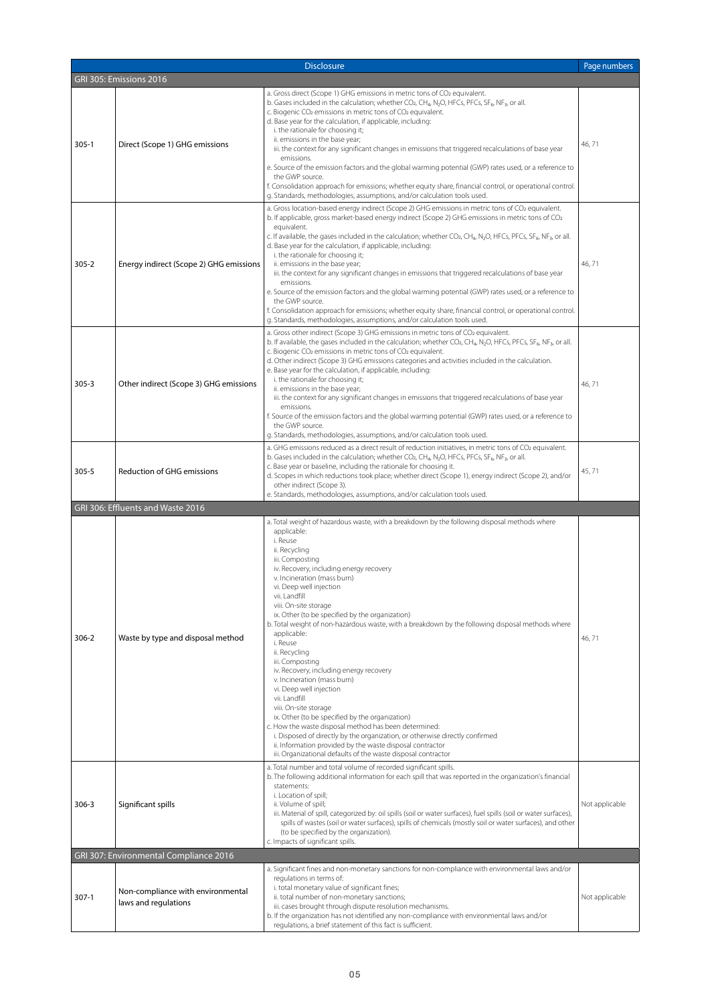| <b>Disclosure</b> |                                         |                                                                                                                                                                                                                                                                                                                                                                                                                                                                                                                                                                                                                                                                                                                                                                                                                                                                                                                                                                               | Page numbers   |
|-------------------|-----------------------------------------|-------------------------------------------------------------------------------------------------------------------------------------------------------------------------------------------------------------------------------------------------------------------------------------------------------------------------------------------------------------------------------------------------------------------------------------------------------------------------------------------------------------------------------------------------------------------------------------------------------------------------------------------------------------------------------------------------------------------------------------------------------------------------------------------------------------------------------------------------------------------------------------------------------------------------------------------------------------------------------|----------------|
|                   | GRI 305: Emissions 2016                 |                                                                                                                                                                                                                                                                                                                                                                                                                                                                                                                                                                                                                                                                                                                                                                                                                                                                                                                                                                               |                |
| $305-1$           | Direct (Scope 1) GHG emissions          | a. Gross direct (Scope 1) GHG emissions in metric tons of CO2 equivalent.<br>b. Gases included in the calculation; whether $CO2$ , CH <sub>4</sub> , N <sub>2</sub> O, HFCs, PFCs, SF <sub>6</sub> , NF <sub>3</sub> , or all.<br>c. Biogenic CO <sub>2</sub> emissions in metric tons of CO <sub>2</sub> equivalent.<br>d. Base year for the calculation, if applicable, including:<br>i. the rationale for choosing it;<br>ii. emissions in the base year;<br>iii. the context for any significant changes in emissions that triggered recalculations of base year<br>emissions.<br>e. Source of the emission factors and the global warming potential (GWP) rates used, or a reference to<br>the GWP source.<br>f. Consolidation approach for emissions; whether equity share, financial control, or operational control.<br>g. Standards, methodologies, assumptions, and/or calculation tools used.                                                                      | 46,71          |
| $305 - 2$         | Energy indirect (Scope 2) GHG emissions | a. Gross location-based energy indirect (Scope 2) GHG emissions in metric tons of CO2 equivalent.<br>b. If applicable, gross market-based energy indirect (Scope 2) GHG emissions in metric tons of CO2<br>equivalent.<br>c. If available, the gases included in the calculation; whether CO2, CH <sub>4</sub> , N <sub>2</sub> O, HFCs, PFCs, SF <sub>6</sub> , NF <sub>3</sub> , or all.<br>d. Base year for the calculation, if applicable, including:<br>i. the rationale for choosing it;<br>ii. emissions in the base year;<br>iii. the context for any significant changes in emissions that triggered recalculations of base year<br>emissions.<br>e. Source of the emission factors and the global warming potential (GWP) rates used, or a reference to<br>the GWP source.<br>f. Consolidation approach for emissions; whether equity share, financial control, or operational control.<br>g. Standards, methodologies, assumptions, and/or calculation tools used. | 46,71          |
| $305 - 3$         | Other indirect (Scope 3) GHG emissions  | a. Gross other indirect (Scope 3) GHG emissions in metric tons of CO2 equivalent.<br>b. If available, the gases included in the calculation; whether CO <sub>2</sub> , CH <sub>4</sub> , N <sub>2</sub> O, HFCs, PFCs, SF <sub>6</sub> , NF <sub>3</sub> , or all.<br>c. Biogenic CO <sub>2</sub> emissions in metric tons of CO <sub>2</sub> equivalent.<br>d. Other indirect (Scope 3) GHG emissions categories and activities included in the calculation.<br>e. Base year for the calculation, if applicable, including:<br>i. the rationale for choosing it;<br>ii. emissions in the base year;<br>iii. the context for any significant changes in emissions that triggered recalculations of base year<br>emissions.<br>f. Source of the emission factors and the global warming potential (GWP) rates used, or a reference to<br>the GWP source.<br>g. Standards, methodologies, assumptions, and/or calculation tools used.                                           | 46,71          |
| $305 - 5$         | <b>Reduction of GHG emissions</b>       | a. GHG emissions reduced as a direct result of reduction initiatives, in metric tons of CO2 equivalent.<br>b. Gases included in the calculation; whether $CO2$ , CH <sub>4</sub> , N <sub>2</sub> O, HFCs, PFCs, SF <sub>6</sub> , NF <sub>3</sub> , or all.<br>c. Base year or baseline, including the rationale for choosing it.<br>d. Scopes in which reductions took place; whether direct (Scope 1), energy indirect (Scope 2), and/or<br>other indirect (Scope 3).<br>e. Standards, methodologies, assumptions, and/or calculation tools used.                                                                                                                                                                                                                                                                                                                                                                                                                          | 45,71          |
|                   | GRI 306: Effluents and Waste 2016       |                                                                                                                                                                                                                                                                                                                                                                                                                                                                                                                                                                                                                                                                                                                                                                                                                                                                                                                                                                               |                |
| $306 - 2$         | Waste by type and disposal method       | a. Total weight of hazardous waste, with a breakdown by the following disposal methods where<br>applicable:<br>i. Reuse<br>ii. Recycling<br>iii. Composting<br>iv. Recovery, including energy recovery<br>v. Incineration (mass burn)<br>vi. Deep well injection<br>vii. Landfill<br>viii. On-site storage<br>ix. Other (to be specified by the organization)<br>b. Total weight of non-hazardous waste, with a breakdown by the following disposal methods where<br>applicable:<br>i. Reuse<br>ii. Recycling<br>iii. Composting<br>iv. Recovery, including energy recovery<br>v. Incineration (mass burn)<br>vi. Deep well injection<br>vii. Landfill<br>viii. On-site storage<br>ix. Other (to be specified by the organization)<br>c. How the waste disposal method has been determined:                                                                                                                                                                                   | 46,71          |
|                   |                                         | i. Disposed of directly by the organization, or otherwise directly confirmed<br>ii. Information provided by the waste disposal contractor                                                                                                                                                                                                                                                                                                                                                                                                                                                                                                                                                                                                                                                                                                                                                                                                                                     |                |
| $306 - 3$         | Significant spills                      | iii. Organizational defaults of the waste disposal contractor<br>a. Total number and total volume of recorded significant spills.<br>b. The following additional information for each spill that was reported in the organization's financial<br>statements:<br>i. Location of spill;<br>ii. Volume of spill;<br>iii. Material of spill, categorized by: oil spills (soil or water surfaces), fuel spills (soil or water surfaces),<br>spills of wastes (soil or water surfaces), spills of chemicals (mostly soil or water surfaces), and other<br>(to be specified by the organization).<br>c. Impacts of significant spills.                                                                                                                                                                                                                                                                                                                                               | Not applicable |
|                   | GRI 307: Environmental Compliance 2016  |                                                                                                                                                                                                                                                                                                                                                                                                                                                                                                                                                                                                                                                                                                                                                                                                                                                                                                                                                                               |                |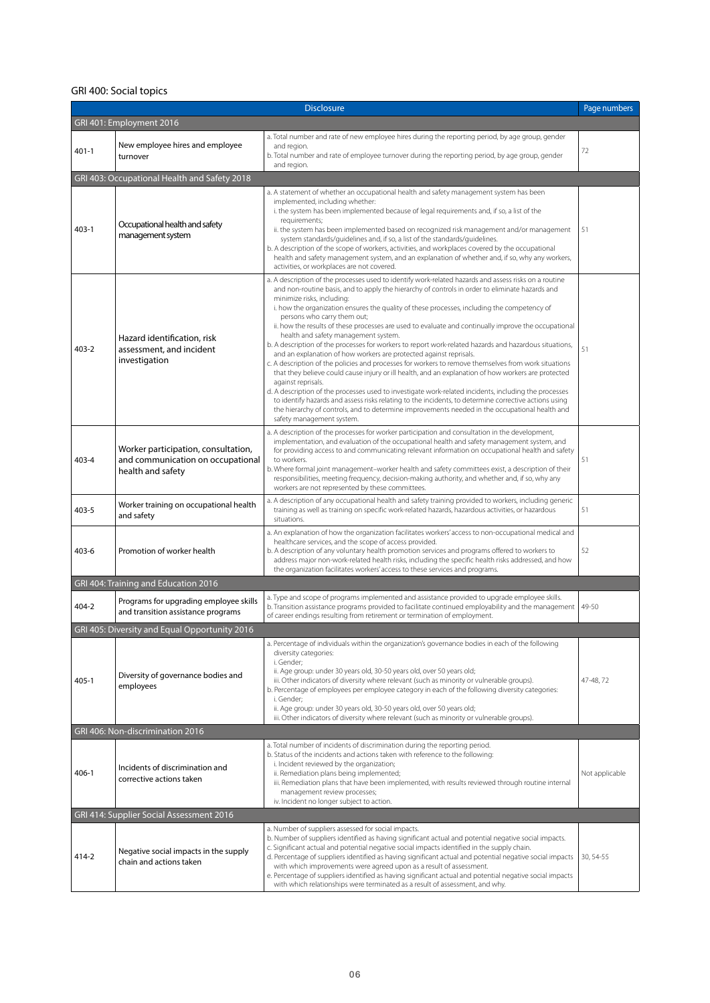## GRI 400: Social topics

| <b>Disclosure</b>        |                                                                                               |                                                                                                                                                                                                                                                                                                                                                                                                                                                                                                                                                                                                                                                                                                                                                                                                                                                                                                                                                                                                                                                                                                                                                                                                                                                                                            | Page numbers   |  |
|--------------------------|-----------------------------------------------------------------------------------------------|--------------------------------------------------------------------------------------------------------------------------------------------------------------------------------------------------------------------------------------------------------------------------------------------------------------------------------------------------------------------------------------------------------------------------------------------------------------------------------------------------------------------------------------------------------------------------------------------------------------------------------------------------------------------------------------------------------------------------------------------------------------------------------------------------------------------------------------------------------------------------------------------------------------------------------------------------------------------------------------------------------------------------------------------------------------------------------------------------------------------------------------------------------------------------------------------------------------------------------------------------------------------------------------------|----------------|--|
| GRI 401: Employment 2016 |                                                                                               |                                                                                                                                                                                                                                                                                                                                                                                                                                                                                                                                                                                                                                                                                                                                                                                                                                                                                                                                                                                                                                                                                                                                                                                                                                                                                            |                |  |
| $401 - 1$                | New employee hires and employee<br>turnover                                                   | a. Total number and rate of new employee hires during the reporting period, by age group, gender<br>and region.<br>b. Total number and rate of employee turnover during the reporting period, by age group, gender<br>and region.                                                                                                                                                                                                                                                                                                                                                                                                                                                                                                                                                                                                                                                                                                                                                                                                                                                                                                                                                                                                                                                          | 72             |  |
|                          | GRI 403: Occupational Health and Safety 2018                                                  |                                                                                                                                                                                                                                                                                                                                                                                                                                                                                                                                                                                                                                                                                                                                                                                                                                                                                                                                                                                                                                                                                                                                                                                                                                                                                            |                |  |
| $403 - 1$                | Occupational health and safety<br>management system                                           | a. A statement of whether an occupational health and safety management system has been<br>implemented, including whether:<br>i. the system has been implemented because of legal requirements and, if so, a list of the<br>requirements;<br>ii. the system has been implemented based on recognized risk management and/or management<br>system standards/quidelines and, if so, a list of the standards/quidelines.<br>b. A description of the scope of workers, activities, and workplaces covered by the occupational<br>health and safety management system, and an explanation of whether and, if so, why any workers,<br>activities, or workplaces are not covered.                                                                                                                                                                                                                                                                                                                                                                                                                                                                                                                                                                                                                  | 51             |  |
| $403 - 2$                | Hazard identification, risk<br>assessment, and incident<br>investigation                      | a. A description of the processes used to identify work-related hazards and assess risks on a routine<br>and non-routine basis, and to apply the hierarchy of controls in order to eliminate hazards and<br>minimize risks, including:<br>i. how the organization ensures the quality of these processes, including the competency of<br>persons who carry them out;<br>ii. how the results of these processes are used to evaluate and continually improve the occupational<br>health and safety management system.<br>b. A description of the processes for workers to report work-related hazards and hazardous situations,<br>and an explanation of how workers are protected against reprisals.<br>c. A description of the policies and processes for workers to remove themselves from work situations<br>that they believe could cause injury or ill health, and an explanation of how workers are protected<br>against reprisals.<br>d. A description of the processes used to investigate work-related incidents, including the processes<br>to identify hazards and assess risks relating to the incidents, to determine corrective actions using<br>the hierarchy of controls, and to determine improvements needed in the occupational health and<br>safety management system. | 51             |  |
| $403 - 4$                | Worker participation, consultation,<br>and communication on occupational<br>health and safety | a. A description of the processes for worker participation and consultation in the development,<br>implementation, and evaluation of the occupational health and safety management system, and<br>for providing access to and communicating relevant information on occupational health and safety<br>to workers.<br>b. Where formal joint management-worker health and safety committees exist, a description of their<br>responsibilities, meeting frequency, decision-making authority, and whether and, if so, why any<br>workers are not represented by these committees.                                                                                                                                                                                                                                                                                                                                                                                                                                                                                                                                                                                                                                                                                                             | 51             |  |
| $403 - 5$                | Worker training on occupational health<br>and safety                                          | a. A description of any occupational health and safety training provided to workers, including generic<br>training as well as training on specific work-related hazards, hazardous activities, or hazardous<br>situations.                                                                                                                                                                                                                                                                                                                                                                                                                                                                                                                                                                                                                                                                                                                                                                                                                                                                                                                                                                                                                                                                 | 51             |  |
| $403 - 6$                | Promotion of worker health                                                                    | a. An explanation of how the organization facilitates workers' access to non-occupational medical and<br>healthcare services, and the scope of access provided.<br>b. A description of any voluntary health promotion services and programs offered to workers to<br>address major non-work-related health risks, including the specific health risks addressed, and how<br>the organization facilitates workers' access to these services and programs.                                                                                                                                                                                                                                                                                                                                                                                                                                                                                                                                                                                                                                                                                                                                                                                                                                   | 52             |  |
|                          | GRI 404: Training and Education 2016                                                          |                                                                                                                                                                                                                                                                                                                                                                                                                                                                                                                                                                                                                                                                                                                                                                                                                                                                                                                                                                                                                                                                                                                                                                                                                                                                                            |                |  |
| $404 - 2$                | Programs for upgrading employee skills<br>and transition assistance programs                  | a. Type and scope of programs implemented and assistance provided to upgrade employee skills.<br>b. Transition assistance programs provided to facilitate continued employability and the management<br>of career endings resulting from retirement or termination of employment.                                                                                                                                                                                                                                                                                                                                                                                                                                                                                                                                                                                                                                                                                                                                                                                                                                                                                                                                                                                                          | 49-50          |  |
|                          | GRI 405: Diversity and Equal Opportunity 2016                                                 |                                                                                                                                                                                                                                                                                                                                                                                                                                                                                                                                                                                                                                                                                                                                                                                                                                                                                                                                                                                                                                                                                                                                                                                                                                                                                            |                |  |
| $405 - 1$                | Diversity of governance bodies and<br>employees                                               | a. Percentage of individuals within the organization's governance bodies in each of the following<br>diversity categories:<br>i. Gender;<br>ii. Age group: under 30 years old, 30-50 years old, over 50 years old;<br>iii. Other indicators of diversity where relevant (such as minority or vulnerable groups).<br>b. Percentage of employees per employee category in each of the following diversity categories:<br>i. Gender:<br>ii. Age group: under 30 years old, 30-50 years old, over 50 years old;<br>iii. Other indicators of diversity where relevant (such as minority or vulnerable groups).                                                                                                                                                                                                                                                                                                                                                                                                                                                                                                                                                                                                                                                                                  | 47-48, 72      |  |
|                          | GRI 406: Non-discrimination 2016                                                              |                                                                                                                                                                                                                                                                                                                                                                                                                                                                                                                                                                                                                                                                                                                                                                                                                                                                                                                                                                                                                                                                                                                                                                                                                                                                                            |                |  |
| $406-1$                  | Incidents of discrimination and<br>corrective actions taken                                   | a. Total number of incidents of discrimination during the reporting period.<br>b. Status of the incidents and actions taken with reference to the following:<br>i. Incident reviewed by the organization;<br>ii. Remediation plans being implemented;<br>iii. Remediation plans that have been implemented, with results reviewed through routine internal<br>management review processes;<br>iv. Incident no longer subject to action.                                                                                                                                                                                                                                                                                                                                                                                                                                                                                                                                                                                                                                                                                                                                                                                                                                                    | Not applicable |  |
|                          | GRI 414: Supplier Social Assessment 2016                                                      |                                                                                                                                                                                                                                                                                                                                                                                                                                                                                                                                                                                                                                                                                                                                                                                                                                                                                                                                                                                                                                                                                                                                                                                                                                                                                            |                |  |
| 414-2                    | Negative social impacts in the supply<br>chain and actions taken                              | a. Number of suppliers assessed for social impacts.<br>b. Number of suppliers identified as having significant actual and potential negative social impacts.<br>c. Significant actual and potential negative social impacts identified in the supply chain.<br>d. Percentage of suppliers identified as having significant actual and potential negative social impacts<br>with which improvements were agreed upon as a result of assessment.<br>e. Percentage of suppliers identified as having significant actual and potential negative social impacts<br>with which relationships were terminated as a result of assessment, and why.                                                                                                                                                                                                                                                                                                                                                                                                                                                                                                                                                                                                                                                 | 30, 54-55      |  |